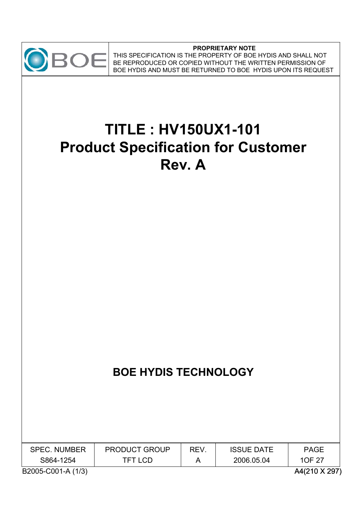

**PROPRIETARY NOTE** THIS SPECIFICATION IS THE PROPERTY OF BOE HYDIS AND SHALL NOT BE REPRODUCED OR COPIED WITHOUT THE WRITTEN PERMISSION OF BE NETTERN AND MUST BE RETURNED TO BOE HYDIS UPON ITS REQUEST

# **TITLE : HV150UX1-101 Product Specification for Customer Rev. A**

## **BOE HYDIS TECHNOLOGY**

| <b>SPEC. NUMBER</b> | <b>PRODUCT GROUP</b> | REV. | <b>ISSUE DATE</b> | PAGE          |
|---------------------|----------------------|------|-------------------|---------------|
| S864-1254           | TFT LCD              |      | 2006.05.04        | 10F 27        |
| B2005-C001-A (1/3)  |                      |      |                   | A4(210 X 297) |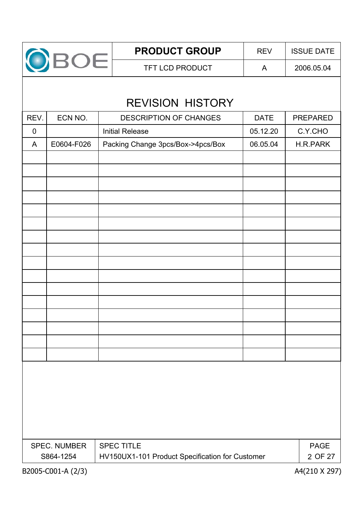

TFT LCD PRODUCT A 2006.05.04 **PRODUCT GROUP** REV SISUE DATE

## REVISION HISTORY

| REV.                                                         | ECN NO.            | DESCRIPTION OF CHANGES            | <b>DATE</b> | PREPARED      |
|--------------------------------------------------------------|--------------------|-----------------------------------|-------------|---------------|
| $\pmb{0}$                                                    |                    | <b>Initial Release</b>            | 05.12.20    | C.Y.CHO       |
| A                                                            | E0604-F026         | Packing Change 3pcs/Box->4pcs/Box | 06.05.04    | H.R.PARK      |
|                                                              |                    |                                   |             |               |
|                                                              |                    |                                   |             |               |
|                                                              |                    |                                   |             |               |
|                                                              |                    |                                   |             |               |
|                                                              |                    |                                   |             |               |
|                                                              |                    |                                   |             |               |
|                                                              |                    |                                   |             |               |
|                                                              |                    |                                   |             |               |
|                                                              |                    |                                   |             |               |
|                                                              |                    |                                   |             |               |
|                                                              |                    |                                   |             |               |
|                                                              |                    |                                   |             |               |
|                                                              |                    |                                   |             |               |
|                                                              |                    |                                   |             |               |
|                                                              |                    |                                   |             |               |
|                                                              |                    |                                   |             |               |
|                                                              |                    |                                   |             |               |
|                                                              |                    |                                   |             |               |
|                                                              |                    |                                   |             |               |
|                                                              |                    |                                   |             |               |
|                                                              |                    |                                   |             |               |
|                                                              |                    |                                   |             |               |
|                                                              | SPEC. NUMBER       | <b>SPEC TITLE</b>                 |             | <b>PAGE</b>   |
| S864-1254<br>HV150UX1-101 Product Specification for Customer |                    |                                   |             | 2 OF 27       |
|                                                              | B2005-C001-A (2/3) |                                   |             | A4(210 X 297) |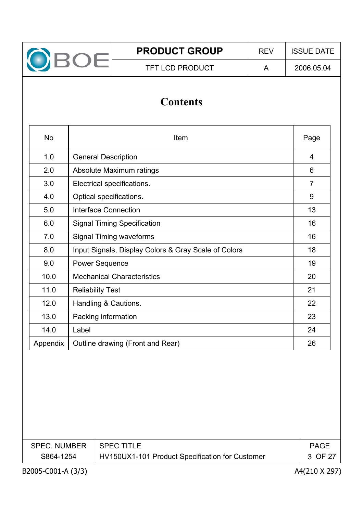

## **Contents**

| <b>No</b> | Item                                                 |                |  |  |
|-----------|------------------------------------------------------|----------------|--|--|
| 1.0       | <b>General Description</b>                           | 4              |  |  |
| 2.0       | Absolute Maximum ratings                             | 6              |  |  |
| 3.0       | Electrical specifications.                           | $\overline{7}$ |  |  |
| 4.0       | Optical specifications.                              | 9              |  |  |
| 5.0       | Interface Connection                                 | 13             |  |  |
| 6.0       | <b>Signal Timing Specification</b>                   | 16             |  |  |
| 7.0       | Signal Timing waveforms                              | 16             |  |  |
| 8.0       | Input Signals, Display Colors & Gray Scale of Colors | 18             |  |  |
| 9.0       | <b>Power Sequence</b>                                | 19             |  |  |
| 10.0      | <b>Mechanical Characteristics</b>                    | 20             |  |  |
| 11.0      | <b>Reliability Test</b>                              | 21             |  |  |
| 12.0      | Handling & Cautions.                                 | 22             |  |  |
| 13.0      | Packing information                                  | 23             |  |  |
| 14.0      | Label                                                | 24             |  |  |
| Appendix  | Outline drawing (Front and Rear)                     | 26             |  |  |

| SPEC. NUMBER   SPEC TITLE |                                                 | <b>PAGE</b> |
|---------------------------|-------------------------------------------------|-------------|
| S864-1254                 | HV150UX1-101 Product Specification for Customer | 3 OF 27     |
|                           |                                                 |             |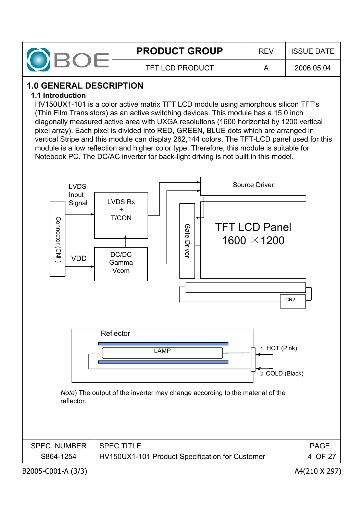

## **1.0 GENERAL DESCRIPTION**

#### **1.1 Introduction**

HV150UX1-101 is a color active matrix TFT LCD module using amorphous silicon TFT's (Thin Film Transistors) as an active switching devices. This module has a 15.0 inch diagonally measured active area with UXGA resolutions (1600 horizontal by 1200 vertical pixel array). Each pixel is divided into RED, GREEN, BLUE dots which are arranged in vertical Stripe and this module can display 262,144 colors. The TFT-LCD panel used for this module is a low reflection and higher color type. Therefore, this module is suitable for Notebook PC. The DC/AC inverter for back-light driving is not built in this model.

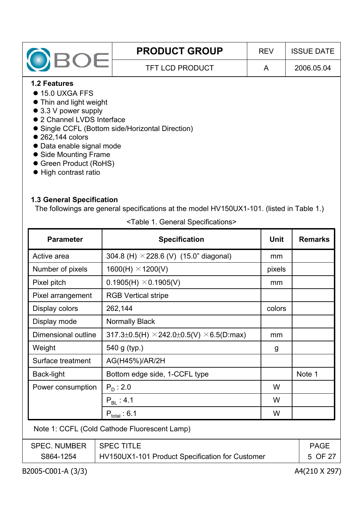|                                                  | <b>PRODUCT GROUP</b> | <b>REV</b> | <b>ISSUE DATE</b> |  |  |  |  |
|--------------------------------------------------|----------------------|------------|-------------------|--|--|--|--|
| OBOE                                             | A                    | 2006.05.04 |                   |  |  |  |  |
| <b>1.2 Features</b>                              |                      |            |                   |  |  |  |  |
| $\bullet$ 15.0 UXGA FFS                          |                      |            |                   |  |  |  |  |
| • Thin and light weight                          |                      |            |                   |  |  |  |  |
| $\bullet$ 3.3 V power supply                     |                      |            |                   |  |  |  |  |
| • 2 Channel LVDS Interface                       |                      |            |                   |  |  |  |  |
| • Single CCFL (Bottom side/Horizontal Direction) |                      |            |                   |  |  |  |  |
| • 262,144 colors                                 |                      |            |                   |  |  |  |  |
| • Data enable signal mode                        |                      |            |                   |  |  |  |  |
| • Side Mounting Frame                            |                      |            |                   |  |  |  |  |
| • Green Product (RoHS)                           |                      |            |                   |  |  |  |  |

• High contrast ratio

### **1.3 General Specification**

The followings are general specifications at the model HV150UX1-101. (listed in Table 1.)

| <b>Parameter</b>    | <b>Specification</b>                                                | <b>Unit</b>                                                | <b>Remarks</b> |  |
|---------------------|---------------------------------------------------------------------|------------------------------------------------------------|----------------|--|
| Active area         | 304.8 (H) $\times$ 228.6 (V) (15.0" diagonal)                       |                                                            |                |  |
| Number of pixels    | $1600(H) \times 1200(V)$                                            | pixels                                                     |                |  |
| Pixel pitch         | $0.1905(H) \times 0.1905(V)$                                        | mm                                                         |                |  |
| Pixel arrangement   | <b>RGB Vertical stripe</b>                                          |                                                            |                |  |
| Display colors      | 262,144                                                             | colors                                                     |                |  |
| Display mode        | <b>Normally Black</b>                                               |                                                            |                |  |
| Dimensional outline | $317.3 \pm 0.5$ (H) $\times$ 242.0 $\pm$ 0.5(V) $\times$ 6.5(D:max) | mm                                                         |                |  |
| Weight              | 540 g (typ.)                                                        |                                                            |                |  |
| Surface treatment   | AG(H45%)/AR/2H                                                      |                                                            |                |  |
| <b>Back-light</b>   | Bottom edge side, 1-CCFL type                                       |                                                            | Note 1         |  |
| Power consumption   | $P_{D}$ : 2.0                                                       | W                                                          |                |  |
|                     | $P_{\text{BI}}$ : 4.1                                               | W                                                          |                |  |
|                     | $P_{total}$ 6.1                                                     | W                                                          |                |  |
|                     | Note 1: CCFL (Cold Cathode Fluorescent Lamp)                        |                                                            |                |  |
| <b>SPEC. NUMBER</b> | <b>SPEC TITLE</b>                                                   | <b>PAGE</b>                                                |                |  |
| S864-1254           |                                                                     | HV150UX1-101 Product Specification for Customer<br>5 OF 27 |                |  |

<Table 1. General Specifications>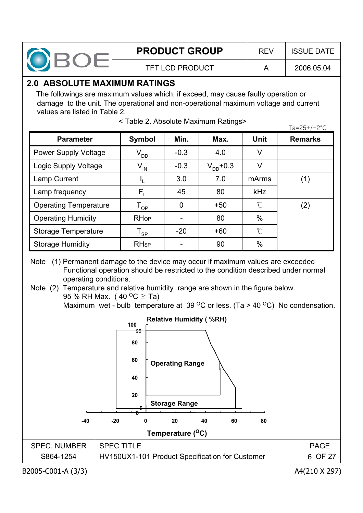

TFT LCD PRODUCT A 2006.05.04

## **2.0 ABSOLUTE MAXIMUM RATINGS**

The followings are maximum values which, if exceed, may cause faulty operation or damage to the unit. The operational and non-operational maximum voltage and current values are listed in Table 2.

| <b>Parameter</b>             | Symbol                     | Min.   | Max.          | <b>Unit</b>         | <b>Remarks</b> |
|------------------------------|----------------------------|--------|---------------|---------------------|----------------|
| <b>Power Supply Voltage</b>  | $V_{DD}$                   | $-0.3$ | 4.0           | V                   |                |
| Logic Supply Voltage         | $V_{IN}$                   | $-0.3$ | $V_{DD}$ +0.3 | V                   |                |
| Lamp Current                 |                            | 3.0    | 7.0           | mArms               | (1)            |
| Lamp frequency               | $\mathsf{F}_\mathsf{L}$    | 45     | 80            | kHz                 |                |
| <b>Operating Temperature</b> | $\mathsf{T}_{\mathsf{OP}}$ | 0      | $+50$         | $\int_{0}^{\infty}$ | (2)            |
| <b>Operating Humidity</b>    | <b>RHop</b>                |        | 80            | $\%$                |                |
| <b>Storage Temperature</b>   | $\mathsf{T}_{\mathsf{SP}}$ | $-20$  | $+60$         | $\mathcal{C}$       |                |
| <b>Storage Humidity</b>      | <b>RH<sub>sp</sub></b>     |        | 90            | $\%$                |                |

| <table 2.="" absolute="" maximum="" ratings=""></table> | $Ta = 25 + (-2^{\circ}C)$ |
|---------------------------------------------------------|---------------------------|
|                                                         |                           |

Note (1) Permanent damage to the device may occur if maximum values are exceeded Functional operation should be restricted to the condition described under normal operating conditions.

Note (2) Temperature and relative humidity range are shown in the figure below. 95 % RH Max. (40  $^{\circ}$ C  $\geq$  Ta) Maximum wet - bulb temperature at 39  $\mathrm{^{\circ}C}$  or less. (Ta > 40  $\mathrm{^{\circ}C}$ ) No condensation.

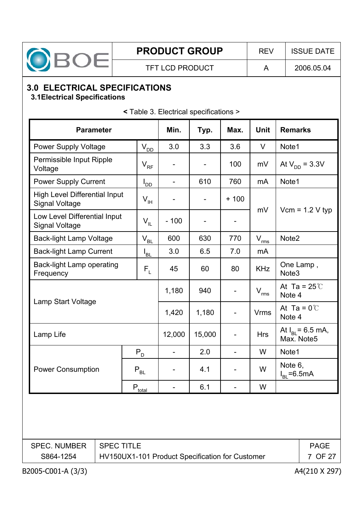

TFT LCD PRODUCT  $\vert$  A  $\vert$  2006.05.04

## **3.0 ELECTRICAL SPECIFICATIONS**

#### **3.1Electrical Specifications**

| <b>Parameter</b>                                              | Min.               | Typ.                         | Max.                     | <b>Unit</b> | <b>Remarks</b>        |                                     |
|---------------------------------------------------------------|--------------------|------------------------------|--------------------------|-------------|-----------------------|-------------------------------------|
| <b>Power Supply Voltage</b>                                   | $V_{DD}$           |                              | 3.3                      | 3.6         | V                     | Note1                               |
| Permissible Input Ripple<br>Voltage                           | $V_{RF}$           |                              |                          | 100         | mV                    | At $V_{DD} = 3.3V$                  |
| <b>Power Supply Current</b>                                   | l <sub>DD</sub>    |                              | 610                      | 760         | mA                    | Note1                               |
| <b>High Level Differential Input</b><br><b>Signal Voltage</b> | $V_{\vert H}$      | $\overline{\phantom{a}}$     | $\overline{\phantom{a}}$ | $+100$      |                       |                                     |
| Low Level Differential Input<br><b>Signal Voltage</b>         | $V_{IL}$           | $-100$                       |                          |             | mV                    | $Vcm = 1.2 V typ$                   |
| <b>Back-light Lamp Voltage</b>                                | $V_{BL}$           | 600                          | 630                      | 770         | $V_{\underline{rms}}$ | Note <sub>2</sub>                   |
| <b>Back-light Lamp Current</b>                                | $I_{BL}$           | 3.0                          | 6.5                      | 7.0         | mA                    |                                     |
| <b>Back-light Lamp operating</b><br>Frequency                 |                    | 45                           | 60                       | 80          | <b>KHz</b>            | One Lamp,<br>Note <sub>3</sub>      |
|                                                               |                    | 1,180                        | 940                      |             | $V_{rms}$             | At Ta = $25^\circ$<br>Note 4        |
|                                                               | Lamp Start Voltage |                              | 1,180                    |             | <b>Vrms</b>           | At Ta = $0^{\circ}$ C<br>Note 4     |
| Lamp Life                                                     |                    | 12,000                       | 15,000                   |             | <b>Hrs</b>            | At $I_{BL}$ = 6.5 mA,<br>Max. Note5 |
|                                                               | $P_{D}$            | $\overline{\phantom{a}}$     | 2.0                      |             | W                     | Note1                               |
| <b>Power Consumption</b><br>$P_{BL}$                          |                    | $\qquad \qquad \blacksquare$ | 4.1                      |             | W                     | Note 6,<br>$I_{BL} = 6.5mA$         |
| $P_{total}$                                                   |                    |                              | 6.1                      |             | W                     |                                     |
|                                                               |                    |                              |                          |             |                       |                                     |
| <b>SPEC TITLE</b><br><b>SPEC. NUMBER</b><br><b>PAGE</b>       |                    |                              |                          |             |                       |                                     |
| S864-1254<br>HV150UX1-101 Product Specification for Customer  |                    |                              |                          |             | 7 OF 27               |                                     |

**<** Table 3. Electrical specifications >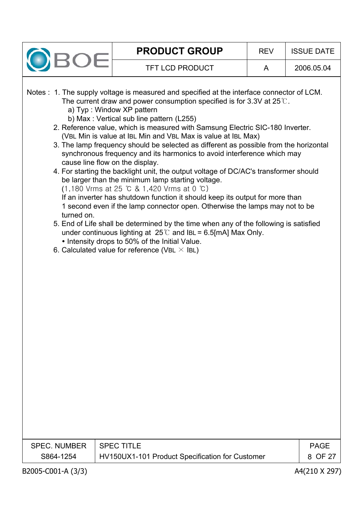|                                  | <b>PRODUCT GROUP</b>                                                                                                                                                                                                                                                                                                                                                                                                                                                                                                                                                                                                                                                                                                                                                                                                                                                                                                                                                                                                                                                                                                                                                                                                                                   | <b>REV</b> | <b>ISSUE DATE</b>      |
|----------------------------------|--------------------------------------------------------------------------------------------------------------------------------------------------------------------------------------------------------------------------------------------------------------------------------------------------------------------------------------------------------------------------------------------------------------------------------------------------------------------------------------------------------------------------------------------------------------------------------------------------------------------------------------------------------------------------------------------------------------------------------------------------------------------------------------------------------------------------------------------------------------------------------------------------------------------------------------------------------------------------------------------------------------------------------------------------------------------------------------------------------------------------------------------------------------------------------------------------------------------------------------------------------|------------|------------------------|
|                                  | <b>TFT LCD PRODUCT</b>                                                                                                                                                                                                                                                                                                                                                                                                                                                                                                                                                                                                                                                                                                                                                                                                                                                                                                                                                                                                                                                                                                                                                                                                                                 | A          | 2006.05.04             |
| turned on.                       | Notes : 1. The supply voltage is measured and specified at the interface connector of LCM.<br>The current draw and power consumption specified is for 3.3V at $25^{\circ}$ .<br>a) Typ: Window XP pattern<br>b) Max: Vertical sub line pattern (L255)<br>2. Reference value, which is measured with Samsung Electric SIC-180 Inverter.<br>(VBL Min is value at IBL Min and VBL Max is value at IBL Max)<br>3. The lamp frequency should be selected as different as possible from the horizontal<br>synchronous frequency and its harmonics to avoid interference which may<br>cause line flow on the display.<br>4. For starting the backlight unit, the output voltage of DC/AC's transformer should<br>be larger than the minimum lamp starting voltage.<br>$(1,180$ Vrms at 25 °C & 1,420 Vrms at 0 °C)<br>If an inverter has shutdown function it should keep its output for more than<br>1 second even if the lamp connector open. Otherwise the lamps may not to be<br>5. End of Life shall be determined by the time when any of the following is satisfied<br>under continuous lighting at $25^{\circ}$ and IBL = 6.5[mA] Max Only.<br>• Intensity drops to 50% of the Initial Value.<br>6. Calculated value for reference (VBL $\times$ IBL) |            |                        |
| <b>SPEC. NUMBER</b><br>S864-1254 | <b>SPEC TITLE</b><br>HV150UX1-101 Product Specification for Customer                                                                                                                                                                                                                                                                                                                                                                                                                                                                                                                                                                                                                                                                                                                                                                                                                                                                                                                                                                                                                                                                                                                                                                                   |            | <b>PAGE</b><br>8 OF 27 |
| B2005-C001-A (3/3)               |                                                                                                                                                                                                                                                                                                                                                                                                                                                                                                                                                                                                                                                                                                                                                                                                                                                                                                                                                                                                                                                                                                                                                                                                                                                        |            | A4(210 X 297)          |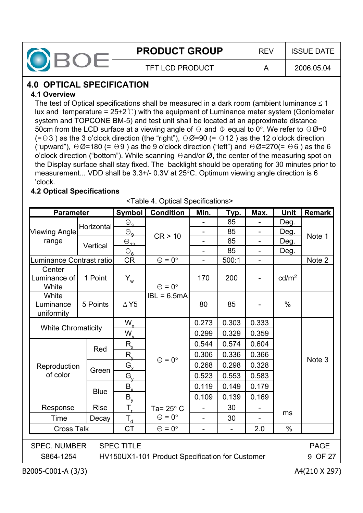

## **4.0 OPTICAL SPECIFICATION**

#### **4.1 Overview**

The test of Optical specifications shall be measured in a dark room (ambient luminance  $\leq 1$ lux and temperature =  $25\pm2$ °C) with the equipment of Luminance meter system (Goniometer system and TOPCONE BM-5) and test unit shall be located at an approximate distance 50cm from the LCD surface at a viewing angle of  $\Theta$  and  $\Phi$  equal to 0°. We refer to  $\Theta \emptyset$ =0  $(= \theta 3)$  as the 3 o'clock direction (the "right"),  $\theta \emptyset = 90$  (=  $\theta$ 12) as the 12 o'clock direction ("upward"),  $\Theta \emptyset$ =180 (=  $\Theta$ 9) as the 9 o'clock direction ("left") and  $\Theta \emptyset$ =270(=  $\Theta$ 6) as the 6 o'clock direction ("bottom"). While scanning  $\Theta$  and/or  $\varnothing$ , the center of the measuring spot on the Display surface shall stay fixed. The backlight should be operating for 30 minutes prior to measurement... VDD shall be  $3.3+/$ - 0.3V at  $25°C$ . Optimum viewing angle direction is 6 'clock.

#### **4.2 Optical Specifications**

<Table 4. Optical Specifications>

| <b>Parameter</b>                                                                                                        |             | <b>Symbol</b>                | <b>Condition</b>     | Min.                         | <b>Тур.</b>    | Max.                     | <b>Unit</b>       | <b>Remark</b> |
|-------------------------------------------------------------------------------------------------------------------------|-------------|------------------------------|----------------------|------------------------------|----------------|--------------------------|-------------------|---------------|
|                                                                                                                         | Horizontal  | $\Theta_{\mathbf{a}}$        |                      |                              | 85             |                          | Deg.              |               |
| <b>Viewing Angle</b>                                                                                                    |             | $\Theta_{\mathbf{q}}$        | CR > 10              | $\overline{\phantom{0}}$     | 85             | $\overline{\phantom{0}}$ | Deg.              | Note 1        |
| range                                                                                                                   | Vertical    | $\Theta_{12}$                |                      |                              | 85             | $\overline{\phantom{0}}$ | Deg.              |               |
|                                                                                                                         |             | $\Theta_{\underline{\bf G}}$ |                      |                              | 85             |                          | Deg.              |               |
| Luminance Contrast ratio                                                                                                |             | <b>CR</b>                    | $\Theta = 0^{\circ}$ | $\overline{a}$               | 500:1          | $\overline{\phantom{0}}$ |                   | Note 2        |
| Center<br>Luminance of<br>White                                                                                         | 1 Point     | $Y_w$                        | $\Theta = 0^{\circ}$ | 170                          | 200            |                          | cd/m <sup>2</sup> |               |
| White<br>Luminance<br>uniformity                                                                                        | 5 Points    | $\Delta$ Y5                  | $IBL = 6.5mA$        | 80                           | 85             |                          | $\%$              |               |
|                                                                                                                         |             | $W_{x}$                      |                      | 0.273                        | 0.303          | 0.333                    |                   |               |
| <b>White Chromaticity</b>                                                                                               |             | $W_{\rm v}$                  |                      | 0.299                        | 0.329          | 0.359                    |                   |               |
|                                                                                                                         |             | $R_{x}$                      |                      | 0.544                        | 0.574          | 0.604                    |                   |               |
|                                                                                                                         | Red         | $R_{v}$                      |                      | 0.306                        | 0.336          | 0.366                    |                   |               |
| Reproduction                                                                                                            |             | $G_{x}$                      | $\Theta = 0^{\circ}$ | 0.268                        | 0.298          | 0.328                    |                   | Note 3        |
| of color                                                                                                                | Green       | $G_{\mu}$                    |                      | 0.523                        | 0.553          | 0.583                    |                   |               |
|                                                                                                                         |             | $B_{x}$                      |                      | 0.119                        | 0.149          | 0.179                    |                   |               |
|                                                                                                                         | <b>Blue</b> | $\overline{B}_{\mu}$         |                      | 0.109                        | 0.139          | 0.169                    |                   |               |
| Response                                                                                                                | <b>Rise</b> | $T_{\rm r}$                  | Ta= $25^\circ$ C     |                              | 30             |                          |                   |               |
| Time                                                                                                                    | Decay       | $T_{d}$                      | $\Theta = 0^{\circ}$ |                              | 30             |                          | ms                |               |
| <b>Cross Talk</b>                                                                                                       |             | <b>CT</b>                    | $\Theta = 0^{\circ}$ | $\qquad \qquad \blacksquare$ | $\blacksquare$ | 2.0                      | $\%$              |               |
|                                                                                                                         |             |                              |                      |                              |                |                          |                   |               |
| <b>SPEC. NUMBER</b><br><b>SPEC TITLE</b><br><b>PAGE</b><br>S864-1254<br>HV150UX1-101 Product Specification for Customer |             |                              |                      |                              | 9 OF 27        |                          |                   |               |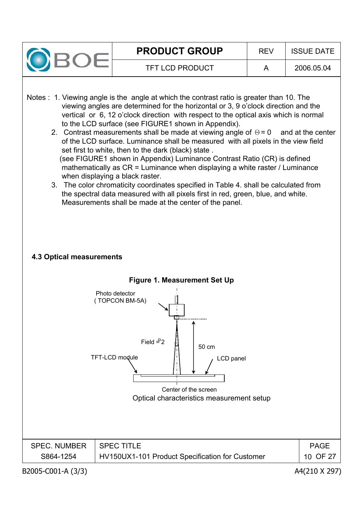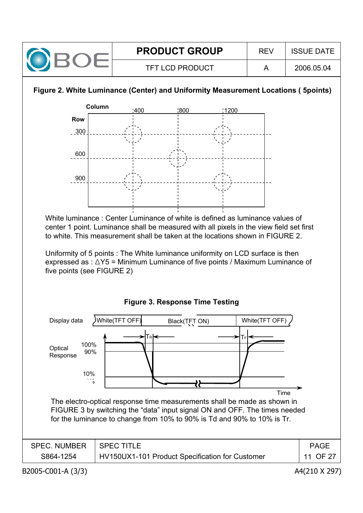

#### **Figure 2. White Luminance (Center) and Uniformity Measurement Locations ( 5points)**

![](_page_10_Figure_2.jpeg)

White luminance : Center Luminance of white is defined as luminance values of center 1 point. Luminance shall be measured with all pixels in the view field set first to white. This measurement shall be taken at the locations shown in FIGURE 2.

Uniformity of 5 points : The White luminance uniformity on LCD surface is then expressed as :  $\triangle Y5$  = Minimum Luminance of five points / Maximum Luminance of five points (see FIGURE 2)

#### **Figure 3. Response Time Testing**

![](_page_10_Figure_6.jpeg)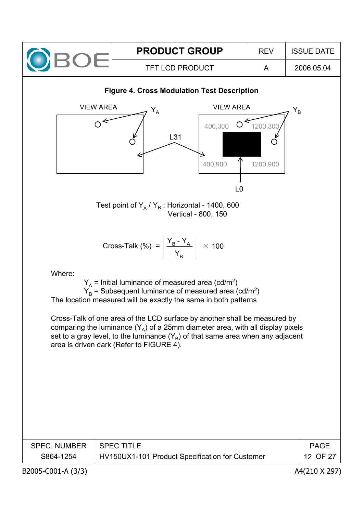![](_page_11_Figure_0.jpeg)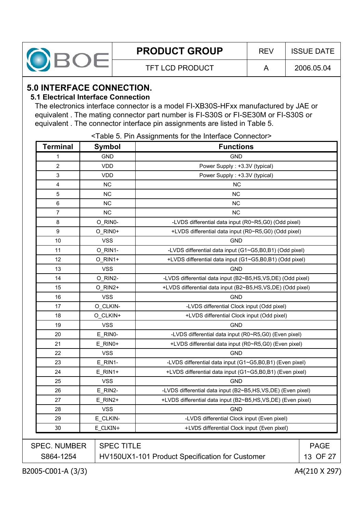|--|--|

## **5.0 INTERFACE CONNECTION.**

#### **5.1 Electrical Interface Connection**

The electronics interface connector is a model FI-XB30S-HFxx manufactured by JAE or equivalent . The mating connector part number is FI-S30S or FI-SE30M or FI-S30S or equivalent . The connector interface pin assignments are listed in Table 5.

| <b>Terminal</b>     | <b>Symbol</b>     | <b>Functions</b>                                            |             |
|---------------------|-------------------|-------------------------------------------------------------|-------------|
| 1                   | <b>GND</b>        | <b>GND</b>                                                  |             |
| 2                   | <b>VDD</b>        | Power Supply: +3.3V (typical)                               |             |
| 3                   | <b>VDD</b>        | Power Supply: +3.3V (typical)                               |             |
| 4                   | <b>NC</b>         | <b>NC</b>                                                   |             |
| 5                   | <b>NC</b>         | <b>NC</b>                                                   |             |
| 6                   | <b>NC</b>         | NC                                                          |             |
| 7                   | <b>NC</b>         | <b>NC</b>                                                   |             |
| 8                   | O_RIN0-           | -LVDS differential data input (R0~R5,G0) (Odd pixel)        |             |
| 9                   | O_RIN0+           | +LVDS differential data input (R0~R5,G0) (Odd pixel)        |             |
| 10                  | <b>VSS</b>        | <b>GND</b>                                                  |             |
| 11                  | O_RIN1-           | -LVDS differential data input (G1~G5,B0,B1) (Odd pixel)     |             |
| 12                  | O_RIN1+           | +LVDS differential data input (G1~G5,B0,B1) (Odd pixel)     |             |
| 13                  | <b>VSS</b>        | <b>GND</b>                                                  |             |
| 14                  | O_RIN2-           | -LVDS differential data input (B2~B5,HS,VS,DE) (Odd pixel)  |             |
| 15                  | O_RIN2+           | +LVDS differential data input (B2~B5,HS,VS,DE) (Odd pixel)  |             |
| 16                  | <b>VSS</b>        | <b>GND</b>                                                  |             |
| 17                  | O_CLKIN-          | -LVDS differential Clock input (Odd pixel)                  |             |
| 18                  | O_CLKIN+          | +LVDS differential Clock input (Odd pixel)                  |             |
| 19                  | <b>VSS</b>        | <b>GND</b>                                                  |             |
| 20                  | E_RINO-           | -LVDS differential data input (R0~R5,G0) (Even pixel)       |             |
| 21                  | E_RIN0+           | +LVDS differential data input (R0~R5,G0) (Even pixel)       |             |
| 22                  | <b>VSS</b>        | <b>GND</b>                                                  |             |
| 23                  | E RIN1-           | -LVDS differential data input (G1~G5,B0,B1) (Even pixel)    |             |
| 24                  | $E_R$ IN1+        | +LVDS differential data input (G1~G5,B0,B1) (Even pixel)    |             |
| 25                  | <b>VSS</b>        | <b>GND</b>                                                  |             |
| 26                  | E RIN2-           | -LVDS differential data input (B2~B5,HS,VS,DE) (Even pixel) |             |
| 27                  | E_RIN2+           | +LVDS differential data input (B2~B5,HS,VS,DE) (Even pixel) |             |
| 28                  | <b>VSS</b>        | <b>GND</b>                                                  |             |
| 29                  | E_CLKIN-          | -LVDS differential Clock input (Even pixel)                 |             |
| 30                  | E_CLKIN+          | +LVDS differential Clock input (Even pixel)                 |             |
| <b>SPEC. NUMBER</b> | <b>SPEC TITLE</b> |                                                             | <b>PAGE</b> |
| S864-1254           |                   | HV150UX1-101 Product Specification for Customer             | 13 OF 27    |

<Table 5. Pin Assignments for the Interface Connector>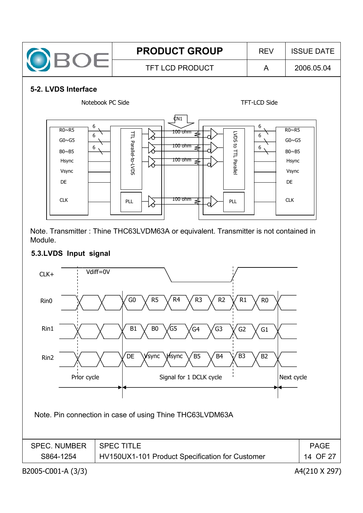![](_page_13_Figure_0.jpeg)

Note. Transmitter : Thine THC63LVDM63A or equivalent. Transmitter is not contained in Module.

#### **5.3.LVDS Input signal**

![](_page_13_Figure_3.jpeg)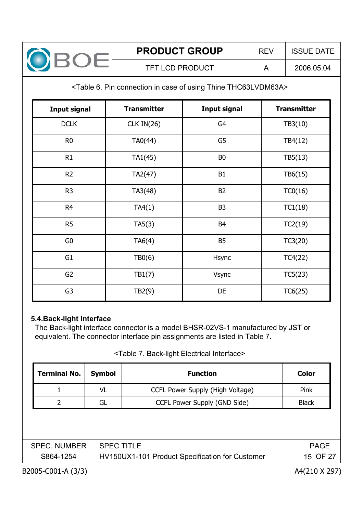![](_page_14_Picture_0.jpeg)

#### <Table 6. Pin connection in case of using Thine THC63LVDM63A>

| <b>Input signal</b> | <b>Transmitter</b> | <b>Input signal</b> | <b>Transmitter</b> |
|---------------------|--------------------|---------------------|--------------------|
| <b>DCLK</b>         | CLK $IN(26)$       | G4                  | TB3(10)            |
| R <sub>0</sub>      | TA0(44)            | G5                  | TB4(12)            |
| R1                  | TA1(45)            | B <sub>0</sub>      | TB5(13)            |
| R2                  | TA2(47)            | B <sub>1</sub>      | TB6(15)            |
| R <sub>3</sub>      | TA3(48)            | <b>B2</b>           | TC0(16)            |
| R <sub>4</sub>      | TA4(1)             | B <sub>3</sub>      | TC1(18)            |
| R <sub>5</sub>      | TA5(3)             | B <sub>4</sub>      | TC2(19)            |
| G <sub>0</sub>      | TA6(4)             | <b>B5</b>           | TC3(20)            |
| G <sub>1</sub>      | TBO(6)             | Hsync               | TC4(22)            |
| G <sub>2</sub>      | TB1(7)             | <b>Vsync</b>        | TC5(23)            |
| G <sub>3</sub>      | TB2(9)             | DE                  | TC6(25)            |

#### **5.4.Back-light Interface**

The Back-light interface connector is a model BHSR-02VS-1 manufactured by JST or equivalent. The connector interface pin assignments are listed in Table 7.

#### <Table 7. Back-light Electrical Interface>

| <b>Terminal No.</b> | <b>Symbol</b>                      | <b>Function</b>                                 | Color       |  |  |  |
|---------------------|------------------------------------|-------------------------------------------------|-------------|--|--|--|
|                     | VL                                 | CCFL Power Supply (High Voltage)                | Pink        |  |  |  |
| $\mathcal{P}$       | CCFL Power Supply (GND Side)<br>GL |                                                 |             |  |  |  |
|                     |                                    |                                                 |             |  |  |  |
|                     |                                    |                                                 |             |  |  |  |
| <b>SPEC. NUMBER</b> | <b>SPEC TITLE</b>                  |                                                 | <b>PAGE</b> |  |  |  |
| S864-1254           |                                    | HV150UX1-101 Product Specification for Customer | 15 OF 27    |  |  |  |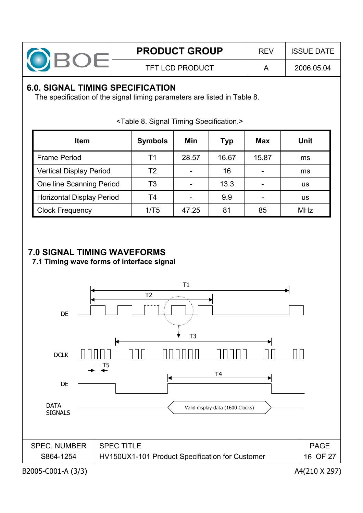![](_page_15_Picture_0.jpeg)

## **6.0. SIGNAL TIMING SPECIFICATION**

The specification of the signal timing parameters are listed in Table 8.

| <b>Item</b>                      | <b>Symbols</b> | Min   | <b>Typ</b> | <b>Max</b> | Unit       |
|----------------------------------|----------------|-------|------------|------------|------------|
| <b>Frame Period</b>              | Τ1             | 28.57 | 16.67      | 15.87      | ms         |
| <b>Vertical Display Period</b>   | T2             |       | 16         |            | ms         |
| <b>One line Scanning Period</b>  | T3             |       | 13.3       |            | us         |
| <b>Horizontal Display Period</b> | T4             |       | 9.9        |            | us         |
| <b>Clock Frequency</b>           | 1/T5           | 47.25 | 81         | 85         | <b>MHz</b> |

<Table 8. Signal Timing Specification.>

## **7.0 SIGNAL TIMING WAVEFORMS**

**7.1 Timing wave forms of interface signal**

![](_page_15_Figure_10.jpeg)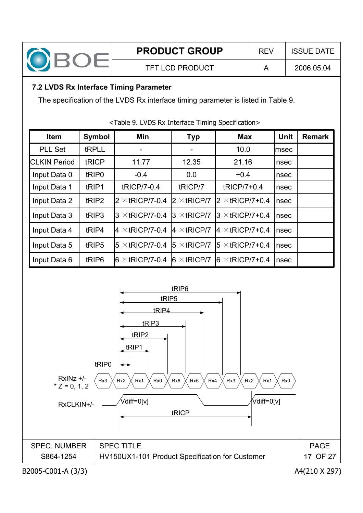![](_page_16_Picture_0.jpeg)

### **7.2 LVDS Rx Interface Timing Parameter**

The specification of the LVDS Rx interface timing parameter is listed in Table 9.

| <b>Item</b>         | <b>Symbol</b>     | Min                     | <b>Typ</b>           | <b>Max</b>              | Unit  | <b>Remark</b> |
|---------------------|-------------------|-------------------------|----------------------|-------------------------|-------|---------------|
| <b>PLL Set</b>      | tRPLL             |                         |                      | 10.0                    | lmsec |               |
| <b>CLKIN Period</b> | tRICP             | 11.77                   | 12.35                | 21.16                   | nsec  |               |
| Input Data 0        | tRIP <sub>0</sub> | $-0.4$                  | 0.0                  | $+0.4$                  | nsec  |               |
| Input Data 1        | tRIP1             | tRICP/7-0.4             | tRICP/7              | tRICP/7+0.4             | nsec  |               |
| Input Data 2        | tRIP2             | $2 \times$ tRICP/7-0.4  | $2 \times$ tRICP/7   | $2 \times$ tRICP/7+0.4  | nsec  |               |
| Input Data 3        | tRIP3             | $3 \times$ tRICP/7-0.4  | $3 \times$ tRICP/7   | $3 \times$ tRICP/7+0.4  | nsec  |               |
| Input Data 4        | tRIP4             | $4 \times$ tRICP/7-0.4  | $4 \times$ tRICP/7   | $ 4 \times$ tRICP/7+0.4 | nsec  |               |
| Input Data 5        | tRIP5             | $15 \times$ tRICP/7-0.4 | $ 5 \times tRICP/7 $ | $15 \times$ tRICP/7+0.4 | nsec  |               |
| Input Data 6        | tRIP <sub>6</sub> | $6 \times$ tRICP/7-0.4  | $ 6 \times tRICP/7 $ | $6 \times$ tRICP/7+0.4  | nsec  |               |

<Table 9. LVDS Rx Interface Timing Specification>

![](_page_16_Figure_8.jpeg)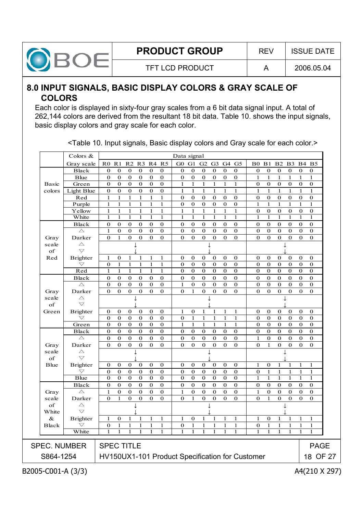![](_page_17_Picture_0.jpeg)

## **8.0 INPUT SIGNALS, BASIC DISPLAY COLORS & GRAY SCALE OF COLORS**

Each color is displayed in sixty-four gray scales from a 6 bit data signal input. A total of 262,144 colors are derived from the resultant 18 bit data. Table 10. shows the input signals, basic display colors and gray scale for each color.

|                                  | Colors &                              |                          |                   |                             |                      |                              |                              | Data signal                                     |                          |                               |                               |                            |                            |                              |                          |                              |                          |                              |                            |
|----------------------------------|---------------------------------------|--------------------------|-------------------|-----------------------------|----------------------|------------------------------|------------------------------|-------------------------------------------------|--------------------------|-------------------------------|-------------------------------|----------------------------|----------------------------|------------------------------|--------------------------|------------------------------|--------------------------|------------------------------|----------------------------|
|                                  | Gray scale                            |                          |                   | R0 R1 R2 R3                 |                      |                              | R4 R5                        | G0 G1                                           |                          | G <sub>2</sub> G <sub>3</sub> |                               |                            | G4 G5                      | B0.                          | B1                       | B <sub>2</sub>               | <b>B3</b>                |                              | <b>B4 B5</b>               |
|                                  | <b>Black</b>                          | 0                        | $\bf{0}$          | $\bf{0}$                    | $\boldsymbol{0}$     | 0                            | $\bf{0}$                     | $\bf{0}$                                        | $\bf{0}$                 | $\bf{0}$                      | $\bf{0}$                      | $\bf{0}$                   | $\bf{0}$                   | $\mathbf 0$                  | $\bf{0}$                 | $\boldsymbol{0}$             | $\bf{0}$                 | $\bf{0}$                     | $\bf{0}$                   |
|                                  | <b>Blue</b>                           | $\mathbf{0}$             | $\bf{0}$          | $\mathbf{0}$                | $\mathbf 0$          | $\mathbf{0}$                 | $\mathbf{0}$                 | $\mathbf{0}$                                    | $\bf{0}$                 | $\mathbf{0}$                  | $\mathbf 0$                   | $\mathbf 0$                | $\mathbf 0$                | 1                            | $\mathbf{1}$             | $\mathbf{1}$                 | 1                        | $\mathbf{1}$                 | $\mathbf{1}$               |
| <b>Basic</b>                     | Green                                 | $\mathbf{0}$             | $\bf{0}$          | $\mathbf{0}$                | $\mathbf 0$          | $\mathbf{0}$                 | $\mathbf{0}$                 | 1                                               | 1                        | 1                             | $\mathbf{1}$                  | 1                          | $\mathbf{1}$               | $\bf{0}$                     | $\mathbf{0}$             | $\mathbf 0$                  | $\bf{0}$                 | $\mathbf{0}$                 | $\mathbf 0$                |
| colors                           | Light Blue                            | $\boldsymbol{0}$         | $\mathbf{0}$      | $\boldsymbol{0}$            | $\boldsymbol{0}$     | $\boldsymbol{0}$             | $\mathbf 0$                  | $\mathbf{1}$                                    | $\mathbf{1}$             | $\mathbf{1}$                  | $\mathbf{1}$                  | $\mathbf{1}$               | $\mathbf{1}$               | $\mathbf{1}$                 | $\mathbf{1}$             | $\mathbf{1}$                 | $\mathbf{1}$             | $\mathbf{1}$                 | $\mathbf{1}$               |
|                                  | Red                                   | $\mathbf{1}$             | 1                 | $\mathbf 1$                 | $\mathbf{1}$         | $\mathbf{1}$                 | $\mathbf{1}$                 | $\mathbf{0}$                                    | $\bf{0}$                 | $\bf{0}$                      | $\boldsymbol{0}$              | $\boldsymbol{0}$           | $\bf{0}$                   | $\mathbf 0$                  | $\mathbf 0$              | $\mathbf 0$                  | $\mathbf 0$              | $\bf{0}$                     | $\boldsymbol{0}$           |
|                                  | Purple                                | 1                        | 1                 | 1                           | 1                    | 1                            | 1                            | $\bf{0}$                                        | $\bf{0}$                 | $\bf{0}$                      | $\bf{0}$                      | $\bf{0}$                   | $\bf{0}$                   | 1                            | 1                        | 1                            | 1                        | 1                            | 1                          |
|                                  | Yellow                                | 1                        | 1                 | 1                           | 1                    | $\mathbf{1}$                 | 1                            | 1                                               | 1                        | 1                             | 1                             | 1                          | $\mathbf{1}$               | $\bf{0}$                     | $\bf{0}$                 | $\mathbf 0$                  | $\bf{0}$                 | $\bf{0}$                     | $\bf{0}$                   |
|                                  | White                                 | 1                        | $\mathbf{1}$      | $\mathbf{1}$                | $\mathbf{1}$         | $\mathbf{1}$                 | $\mathbf{1}$                 | 1                                               | $\mathbf{1}$             | $\mathbf{1}$                  | $\mathbf{1}$                  | $\mathbf{1}$               | $\mathbf{1}$               | 1                            | 1                        | $\mathbf{1}$                 | $\mathbf{1}$             | 1                            | $\mathbf{1}$               |
|                                  | <b>Black</b>                          | $\bf{0}$                 | $\bf{0}$          | $\mathbf{0}$                | $\bf{0}$             | $\mathbf 0$                  | $\bf{0}$                     | $\mathbf 0$                                     | $\bf{0}$                 | $\bf{0}$                      | $\mathbf 0$                   | $\bf{0}$                   | $\bf{0}$                   | $\mathbf{0}$                 | $\mathbf{0}$             | $\bf{0}$                     | $\mathbf{0}$             | $\mathbf{0}$                 | $\mathbf 0$                |
|                                  | $\triangle$                           | $\mathbf{1}$             | $\bf{0}$          | $\mathbf 0$                 | $\boldsymbol{0}$     | $\boldsymbol{0}$             | $\mathbf{0}$                 | $\boldsymbol{0}$                                | $\mathbf 0$              | $\boldsymbol{0}$              | $\boldsymbol{0}$              | $\mathbf 0$                | $\bf{0}$                   | $\mathbf{0}$                 | $\mathbf{0}$             | $\boldsymbol{0}$             | $\mathbf 0$              | $\mathbf{0}$                 | $\boldsymbol{0}$           |
| Gray                             | Darker                                | $\mathbf{0}$             | $\mathbf{1}$      | $\mathbf{0}$                | $\mathbf 0$          | $\mathbf{0}$                 | $\mathbf{0}$                 | $\mathbf{0}$                                    | $\mathbf{0}$             | $\mathbf{0}$                  | $\mathbf{0}$                  | $\mathbf{0}$               | $\boldsymbol{0}$           | $\Omega$                     | $\overline{0}$           | $\mathbf{0}$                 | $\mathbf 0$              | $\mathbf{0}$                 | $\bf{0}$                   |
| scale                            | $\triangle$<br>$\bigtriangledown$     |                          |                   |                             |                      |                              |                              |                                                 |                          |                               |                               |                            |                            |                              |                          |                              |                          |                              |                            |
| of                               |                                       |                          |                   |                             |                      |                              |                              |                                                 |                          |                               |                               |                            |                            |                              |                          |                              |                          |                              |                            |
| Red                              | <b>Brighter</b><br>$\bigtriangledown$ | $\mathbf{1}$             | $\mathbf{0}$      | $\mathbf{1}$                | 1                    | $\mathbf{1}$                 | $\mathbf{1}$                 | $\mathbf 0$                                     | $\bf{0}$                 | $\mathbf 0$                   | $\bf{0}$                      | $\bf{0}$                   | $\boldsymbol{0}$           | $\bf{0}$                     | $\bf{0}$                 | $\bf{0}$                     | $\bf{0}$                 | $\bf{0}$                     | $\bf{0}$                   |
|                                  | Red                                   | $\bf{0}$<br>$\mathbf{1}$ | 1<br>$\mathbf{1}$ | $\mathbf{1}$<br>$\mathbf 1$ | 1<br>$\mathbf{1}$    | $\mathbf{1}$<br>$\mathbf{1}$ | $\mathbf{1}$<br>$\mathbf{1}$ | $\bf{0}$<br>$\overline{0}$                      | $\bf{0}$<br>$\mathbf{0}$ | $\bf{0}$<br>$\overline{0}$    | $\mathbf 0$<br>$\overline{0}$ | $\bf{0}$<br>$\overline{0}$ | $\bf{0}$<br>$\overline{0}$ | $\mathbf{0}$<br>$\mathbf{0}$ | $\bf{0}$<br>$\mathbf{0}$ | $\mathbf{0}$<br>$\mathbf{0}$ | $\mathbf{0}$<br>$\bf{0}$ | $\mathbf{0}$<br>$\mathbf{0}$ | $\bf{0}$<br>$\overline{0}$ |
|                                  | <b>Black</b>                          | $\bf{0}$                 | $\bf{0}$          | $\bf{0}$                    |                      | $\bf{0}$                     | $\bf{0}$                     | $\bf{0}$                                        | $\bf{0}$                 | $\bf{0}$                      | $\bf{0}$                      | $\bf{0}$                   | $\bf{0}$                   | $\bf{0}$                     |                          | $\bf{0}$                     |                          | $\mathbf 0$                  | $\boldsymbol{0}$           |
|                                  | $\triangle$                           | $\bf{0}$                 | $\mathbf{0}$      | $\bf{0}$                    | $\bf{0}$<br>$\bf{0}$ | $\mathbf{0}$                 | $\mathbf{0}$                 | $\mathbf{1}$                                    | $\bf{0}$                 | $\bf{0}$                      | $\bf{0}$                      | $\bf{0}$                   | $\boldsymbol{0}$           | $\mathbf{0}$                 | $\bf{0}$<br>$\bf{0}$     | $\bf{0}$                     | $\bf{0}$<br>$\mathbf{0}$ | $\bf{0}$                     | $\bf{0}$                   |
|                                  | Darker                                | $\mathbf 0$              | $\bf{0}$          | $\mathbf 0$                 | $\mathbf 0$          | $\mathbf 0$                  | $\mathbf{0}$                 | $\mathbf 0$                                     | $\mathbf{1}$             | $\bf{0}$                      | $\boldsymbol{0}$              | $\mathbf 0$                | $\mathbf 0$                | $\mathbf{0}$                 | $\mathbf 0$              | $\bf{0}$                     | $\mathbf 0$              | $\mathbf 0$                  | $\bf{0}$                   |
| Gray<br>scale                    | $\triangle$                           |                          |                   |                             |                      |                              |                              |                                                 |                          |                               |                               |                            |                            |                              |                          |                              |                          |                              |                            |
| of                               | $\bigtriangledown$                    |                          |                   |                             |                      |                              |                              |                                                 |                          |                               |                               |                            |                            |                              |                          |                              |                          |                              |                            |
| Green                            | <b>Brighter</b>                       | $\bf{0}$                 | $\mathbf 0$       | $\bf{0}$                    | $\bf{0}$             | $\mathbf 0$                  | $\mathbf 0$                  | $\mathbf{1}$                                    | $\boldsymbol{0}$         | $\mathbf{1}$                  | 1                             | 1                          | $\mathbf{1}$               | $\bf{0}$                     | $\mathbf 0$              | $\bf{0}$                     | $\bf{0}$                 | $\mathbf{0}$                 | $\bf{0}$                   |
|                                  | $\bigtriangledown$                    | $\mathbf{0}$             | $\bf{0}$          | $\mathbf{0}$                | $\bf{0}$             | $\mathbf{0}$                 | $\mathbf{0}$                 | $\mathbf 0$                                     | $\mathbf{1}$             | $\mathbf{1}$                  | 1                             | $\mathbf{1}$               | $\mathbf{1}$               | $\mathbf{0}$                 | $\bf{0}$                 | $\bf{0}$                     | $\mathbf{0}$             | $\mathbf{0}$                 | $\boldsymbol{0}$           |
|                                  | Green                                 | $\mathbf{0}$             | $\bf{0}$          | $\bf{0}$                    | $\bf{0}$             | 0                            | $\bf{0}$                     | 1                                               | 1                        | 1                             | 1                             | 1                          | $\mathbf{1}$               | $\mathbf{0}$                 | $\bf{0}$                 | $\bf{0}$                     | $\bf{0}$                 | $\mathbf{0}$                 | $\bf{0}$                   |
|                                  | <b>Black</b>                          | 0                        | $\bf{0}$          | $\bf{0}$                    | $\bf{0}$             | $\bf{0}$                     | $\bf{0}$                     | $\bf{0}$                                        | $\bf{0}$                 | $\bf{0}$                      | $\bf{0}$                      | $\bf{0}$                   | $\mathbf 0$                | $\bf{0}$                     | $\bf{0}$                 | $\bf{0}$                     | $\bf{0}$                 | $\bf{0}$                     | $\boldsymbol{0}$           |
|                                  | $\triangle$                           | $\bf{0}$                 | $\bf{0}$          | $\mathbf 0$                 | $\bf{0}$             | $\mathbf{0}$                 | $\mathbf{0}$                 | $\mathbf 0$                                     | $\mathbf 0$              | $\bf{0}$                      | $\mathbf 0$                   | $\mathbf 0$                | $\bf{0}$                   | $\mathbf{1}$                 | $\bf{0}$                 | $\mathbf 0$                  | $\mathbf{0}$             | $\mathbf{0}$                 | $\bf{0}$                   |
| Gray                             | Darker                                | $\mathbf{0}$             | $\mathbf{0}$      | $\mathbf{0}$                | $\mathbf{0}$         | $\Omega$                     | $\Omega$                     | $\mathbf{0}$                                    | $\mathbf{0}$             | $\mathbf{0}$                  | $\mathbf{0}$                  | $\mathbf{0}$               | $\mathbf 0$                | $\Omega$                     | $\mathbf{1}$             | $\mathbf{0}$                 | $\mathbf{0}$             | $\mathbf{0}$                 | $\mathbf 0$                |
| scale                            | $\triangle$                           |                          |                   |                             |                      |                              |                              |                                                 |                          |                               |                               |                            |                            |                              |                          |                              |                          |                              |                            |
| of                               | $\bigtriangledown$                    |                          |                   |                             |                      |                              |                              |                                                 |                          |                               |                               |                            |                            |                              |                          |                              |                          |                              |                            |
| <b>B</b> lue                     | <b>Brighter</b>                       | 0                        | $\bf{0}$          | $\bf{0}$                    | 0                    | $\bf{0}$                     | $\bf{0}$                     | $\bf{0}$                                        | $\bf{0}$                 | 0                             | $\bf{0}$                      | $\bf{0}$                   | $\bf{0}$                   | 1                            | $\mathbf 0$              | 1                            | 1                        | 1                            | 1                          |
|                                  | $\bigtriangledown$                    | $\bf{0}$                 | $\bf{0}$          | $\bf{0}$                    | $\bf{0}$             | $\mathbf{0}$                 | $\bf{0}$                     | $\mathbf{0}$                                    | $\bf{0}$                 | $\bf{0}$                      | $\mathbf{0}$                  | $\bf{0}$                   | $\boldsymbol{0}$           | $\bf{0}$                     | $\mathbf{1}$             | $\mathbf{1}$                 | $\mathbf{1}$             | $\mathbf{1}$                 | 1                          |
|                                  | <b>Blue</b>                           | $\bf{0}$                 | $\bf{0}$          | $\mathbf{0}$                | $\mathbf 0$          | $\mathbf 0$                  | $\overline{0}$               | $\mathbf{0}$                                    | $\bf{0}$                 | $\mathbf 0$                   | $\mathbf{0}$                  | $\mathbf{0}$               | $\overline{0}$             | $\mathbf{1}$                 | $\mathbf{1}$             | $\mathbf{1}$                 | $\mathbf{1}$             | $\mathbf{1}$                 | $\mathbf{1}$               |
|                                  | <b>Black</b>                          | $\mathbf{0}$             | $\bf{0}$          | $\mathbf{0}$                | $\bf{0}$             | $\mathbf{0}$                 | $\overline{0}$               | $\bf{0}$                                        | $\bf{0}$                 | $\bf{0}$                      | $\mathbf{0}$                  | $\bf{0}$                   | $\overline{0}$             | $\bf{0}$                     | $\bf{0}$                 | $\bf{0}$                     | $\mathbf{0}$             | $\mathbf{0}$                 | $\bf{0}$                   |
| Gray                             | $\triangle$                           | $\mathbf{1}$             | $\mathbf 0$       | $\boldsymbol{0}$            | $\boldsymbol{0}$     | $\mathbf 0$                  | $\mathbf 0$                  | $\mathbf{1}$                                    | $\mathbf 0$              | $\boldsymbol{0}$              | $\boldsymbol{0}$              | $\mathbf 0$                | $\boldsymbol{0}$           | $\mathbf{1}$                 | $\mathbf 0$              | $\boldsymbol{0}$             | $\mathbf 0$              | $\mathbf 0$                  | $\boldsymbol{0}$           |
| scale                            | Darker                                | $\mathbf{0}$             | $\mathbf{1}$      | $\mathbf{0}$                | $\mathbf 0$          | $\mathbf{0}$                 | $\mathbf{O}$                 | $\mathbf{0}$                                    | $\mathbf{1}$             | $\mathbf{O}$                  | $\mathbf{0}$                  | $\mathbf{O}$               | $\mathbf{0}$               | $\Omega$                     | $\mathbf{1}$             | $\mathbf{0}$                 | $\mathbf 0$              | $\mathbf{0}$                 | $\bf{0}$                   |
|                                  | $\triangle$                           |                          |                   |                             | T                    |                              |                              |                                                 |                          |                               |                               |                            |                            |                              |                          |                              |                          |                              |                            |
| of                               |                                       |                          |                   |                             |                      |                              |                              |                                                 |                          |                               |                               |                            |                            |                              |                          |                              |                          |                              |                            |
| White                            | $\bigtriangledown$                    |                          |                   |                             |                      |                              |                              |                                                 |                          |                               |                               |                            |                            |                              |                          |                              |                          |                              |                            |
| $\&$                             | <b>Brighter</b>                       | 1                        | $\bf{0}$          | $\mathbf{1}$                | 1                    | $\mathbf{1}$                 | $\mathbf{1}$                 | $\mathbf{1}$                                    | $\boldsymbol{0}$         | $\mathbf{1}$                  | $\mathbf{1}$                  | $\mathbf{1}$               | $\mathbf{1}$               | $\mathbf{1}$                 | $\mathbf 0$              | $\mathbf{1}$                 | 1                        | $\mathbf{1}$                 | $\mathbf{1}$               |
| <b>Black</b>                     | $\bigtriangledown$                    | $\mathbf{0}$             | $1 \quad 1$       |                             | $\mathbf{1}$         | $\mathbf{1}$                 | $\mathbf{1}$                 |                                                 |                          |                               | $0 \t1 \t1 \t1$               | 1                          | $\bar{\mathcal{A}}$        | $\mathbf{0}$                 | $\mathbf{1}$             | $\mathbf{1}$                 | $\mathbf{1}$             | $\mathbf{1}$                 | $\mathbf{1}$               |
|                                  | White                                 |                          |                   |                             |                      |                              |                              |                                                 |                          |                               |                               |                            |                            |                              |                          |                              |                          |                              |                            |
|                                  |                                       |                          |                   |                             |                      |                              |                              |                                                 |                          |                               |                               |                            |                            |                              |                          |                              |                          |                              |                            |
|                                  |                                       | <b>SPEC TITLE</b>        |                   |                             |                      |                              |                              |                                                 |                          |                               |                               |                            |                            |                              |                          |                              |                          |                              | <b>PAGE</b>                |
| <b>SPEC. NUMBER</b><br>S864-1254 |                                       |                          |                   |                             |                      |                              |                              | HV150UX1-101 Product Specification for Customer |                          |                               |                               |                            |                            |                              |                          |                              |                          |                              | 18 OF 27                   |

<Table 10. Input signals, Basic display colors and Gray scale for each color.>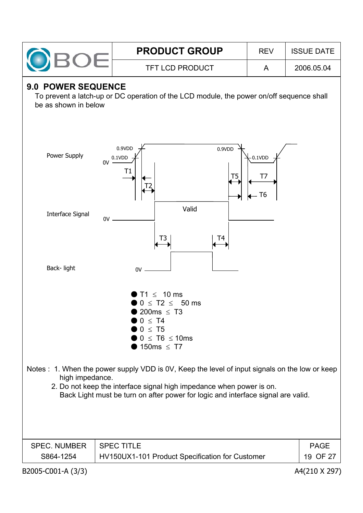|                                                                                                                                                                                                                                                                               |    | <b>PRODUCT GROUP</b>                                                                                                                    | <b>REV</b>            | <b>ISSUE DATE</b> |  |  |  |  |
|-------------------------------------------------------------------------------------------------------------------------------------------------------------------------------------------------------------------------------------------------------------------------------|----|-----------------------------------------------------------------------------------------------------------------------------------------|-----------------------|-------------------|--|--|--|--|
|                                                                                                                                                                                                                                                                               |    | <b>TFT LCD PRODUCT</b>                                                                                                                  | A                     | 2006.05.04        |  |  |  |  |
| 9.0 POWER SEQUENCE<br>To prevent a latch-up or DC operation of the LCD module, the power on/off sequence shall<br>be as shown in below                                                                                                                                        |    |                                                                                                                                         |                       |                   |  |  |  |  |
| Power Supply                                                                                                                                                                                                                                                                  | 0V | 0.9VDD<br>0.9VDD<br>0.1VDD<br>Τ1<br>T <sub>5</sub>                                                                                      | $-0.1VDD$<br>T7<br>T6 |                   |  |  |  |  |
| <b>Interface Signal</b>                                                                                                                                                                                                                                                       | 0V | Valid<br>T3<br>T4                                                                                                                       |                       |                   |  |  |  |  |
| Back-light                                                                                                                                                                                                                                                                    |    | 0V                                                                                                                                      |                       |                   |  |  |  |  |
|                                                                                                                                                                                                                                                                               |    | $T1 \leq 10$ ms<br>$0 \leq T2 \leq 50$ ms<br>200ms $\leq$ T3<br>$0 \leq T4$<br>$0 \leq T5$<br>$0 \leq T6 \leq 10$ ms<br>150ms $\leq$ T7 |                       |                   |  |  |  |  |
| Notes : 1. When the power supply VDD is 0V, Keep the level of input signals on the low or keep<br>high impedance.<br>2. Do not keep the interface signal high impedance when power is on.<br>Back Light must be turn on after power for logic and interface signal are valid. |    |                                                                                                                                         |                       |                   |  |  |  |  |
| <b>SPEC. NUMBER</b>                                                                                                                                                                                                                                                           |    | <b>SPEC TITLE</b>                                                                                                                       |                       | <b>PAGE</b>       |  |  |  |  |
| S864-1254                                                                                                                                                                                                                                                                     |    | HV150UX1-101 Product Specification for Customer                                                                                         |                       | 19 OF 27          |  |  |  |  |
| B2005-C001-A (3/3)                                                                                                                                                                                                                                                            |    |                                                                                                                                         |                       | A4(210 X 297)     |  |  |  |  |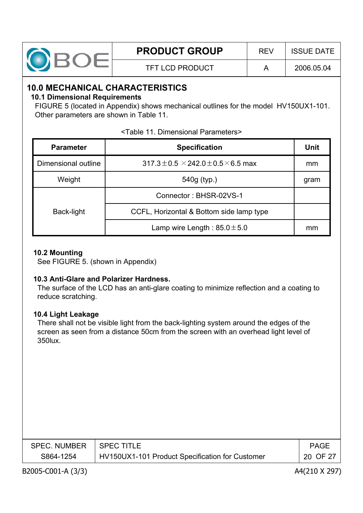| <b>PRODUCT GROUP</b> | RFV | <b>ISSUE DATE</b> |
|----------------------|-----|-------------------|
| TFT LCD PRODUCT      |     | 2006.05.04        |

### **10.0 MECHANICAL CHARACTERISTICS**

#### **10.1 Dimensional Requirements**

FIGURE 5 (located in Appendix) shows mechanical outlines for the model HV150UX1-101. Other parameters are shown in Table 11.

| <b>Parameter</b>    | <b>Specification</b>                                | Unit |
|---------------------|-----------------------------------------------------|------|
| Dimensional outline | $317.3 \pm 0.5 \times 242.0 \pm 0.5 \times 6.5$ max | mm   |
| Weight              | 540g (typ.)                                         | gram |
|                     | Connector: BHSR-02VS-1                              |      |
| Back-light          | CCFL, Horizontal & Bottom side lamp type            |      |
|                     | Lamp wire Length: $85.0 \pm 5.0$                    | mm   |

#### <Table 11. Dimensional Parameters>

#### **10.2 Mounting**

See FIGURE 5. (shown in Appendix)

#### **10.3 Anti-Glare and Polarizer Hardness.**

The surface of the LCD has an anti-glare coating to minimize reflection and a coating to reduce scratching.

#### **10.4 Light Leakage**

There shall not be visible light from the back-lighting system around the edges of the screen as seen from a distance 50cm from the screen with an overhead light level of 350lux.

| SPEC. NUMBER   SPEC TITLE |                                                 | <b>PAGE</b> |
|---------------------------|-------------------------------------------------|-------------|
| S864-1254                 | HV150UX1-101 Product Specification for Customer | 20 OF 27    |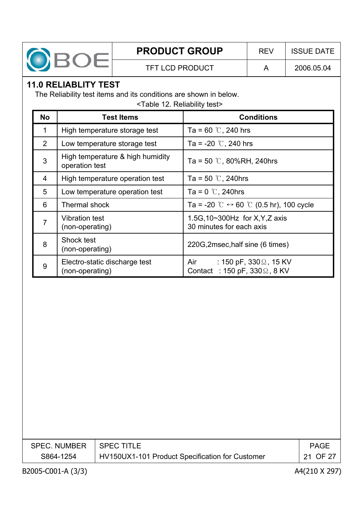![](_page_20_Picture_0.jpeg)

## **11.0 RELIABLITY TEST**

The Reliability test items and its conditions are shown in below.

<Table 12. Reliability test>

| <b>No</b>      | <b>Test Items</b>                                  | <b>Conditions</b>                                                             |
|----------------|----------------------------------------------------|-------------------------------------------------------------------------------|
| 1              | High temperature storage test                      | Ta = 60 $\degree$ C, 240 hrs                                                  |
| 2              | Low temperature storage test                       | Ta = -20 $\degree$ C, 240 hrs                                                 |
| 3              | High temperature & high humidity<br>operation test | Ta = 50 $\degree$ C, 80%RH, 240hrs                                            |
| $\overline{4}$ | High temperature operation test                    | Ta = 50 $\degree$ C, 240hrs                                                   |
| 5              | Low temperature operation test                     | Ta = $0^\circ$ C, 240hrs                                                      |
| 6              | Thermal shock                                      | Ta = -20 °C $\leftrightarrow$ 60 °C (0.5 hr), 100 cycle                       |
| 7              | <b>Vibration test</b><br>(non-operating)           | 1.5G, 10~300Hz for X, Y, Z axis<br>30 minutes for each axis                   |
| 8              | Shock test<br>(non-operating)                      | 220G, 2msec, half sine (6 times)                                              |
| 9              | Electro-static discharge test<br>(non-operating)   | Air<br>: 150 pF, 330 $\Omega$ , 15 KV<br>Contact : 150 pF, $330\Omega$ , 8 KV |

| SPEC. NUMBER   SPEC TITLE |                                                 | PAGE     |
|---------------------------|-------------------------------------------------|----------|
| S864-1254                 | HV150UX1-101 Product Specification for Customer | 21 OF 27 |
|                           |                                                 |          |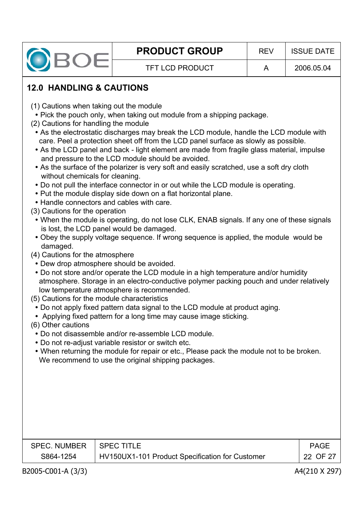![](_page_21_Picture_0.jpeg)

## **12.0 HANDLING & CAUTIONS**

- (1) Cautions when taking out the module
- Pick the pouch only, when taking out module from a shipping package.
- (2) Cautions for handling the module
	- As the electrostatic discharges may break the LCD module, handle the LCD module with care. Peel a protection sheet off from the LCD panel surface as slowly as possible.
	- As the LCD panel and back light element are made from fragile glass material, impulse and pressure to the LCD module should be avoided.
	- As the surface of the polarizer is very soft and easily scratched, use a soft dry cloth without chemicals for cleaning.
	- Do not pull the interface connector in or out while the LCD module is operating.
	- Put the module display side down on a flat horizontal plane.
	- Handle connectors and cables with care.
- (3) Cautions for the operation
	- When the module is operating, do not lose CLK, ENAB signals. If any one of these signals is lost, the LCD panel would be damaged.
	- Obey the supply voltage sequence. If wrong sequence is applied, the module would be damaged.
- (4) Cautions for the atmosphere
	- Dew drop atmosphere should be avoided.
	- Do not store and/or operate the LCD module in a high temperature and/or humidity atmosphere. Storage in an electro-conductive polymer packing pouch and under relatively low temperature atmosphere is recommended.
- (5) Cautions for the module characteristics
	- Do not apply fixed pattern data signal to the LCD module at product aging.
	- Applying fixed pattern for a long time may cause image sticking.
- (6) Other cautions
	- Do not disassemble and/or re-assemble LCD module.
	- Do not re-adjust variable resistor or switch etc.
	- When returning the module for repair or etc., Please pack the module not to be broken. We recommend to use the original shipping packages.

| SPEC. NUMBER | I SPEC TITLE.                                   | <b>PAGE</b> |
|--------------|-------------------------------------------------|-------------|
| S864-1254    | HV150UX1-101 Product Specification for Customer | 22 OF 27    |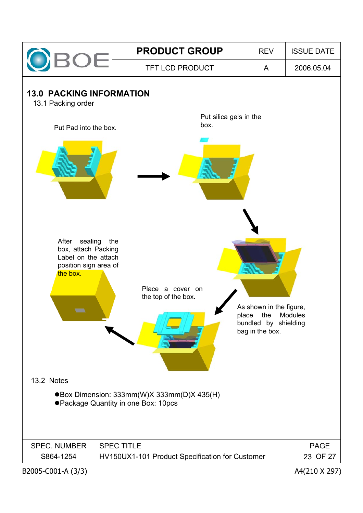![](_page_22_Figure_0.jpeg)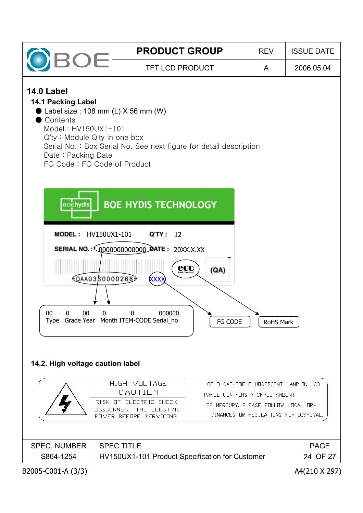![](_page_23_Figure_0.jpeg)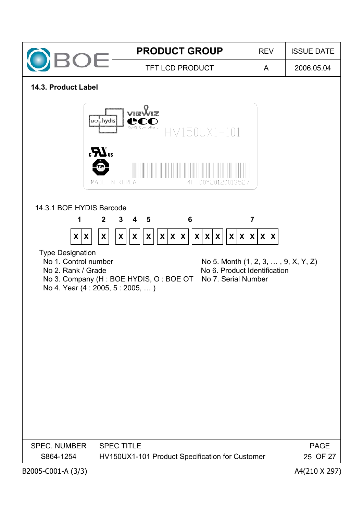![](_page_24_Figure_0.jpeg)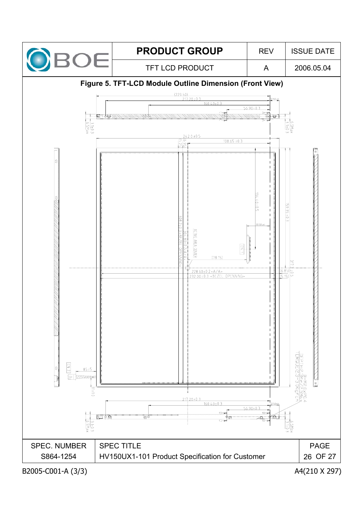![](_page_25_Figure_0.jpeg)